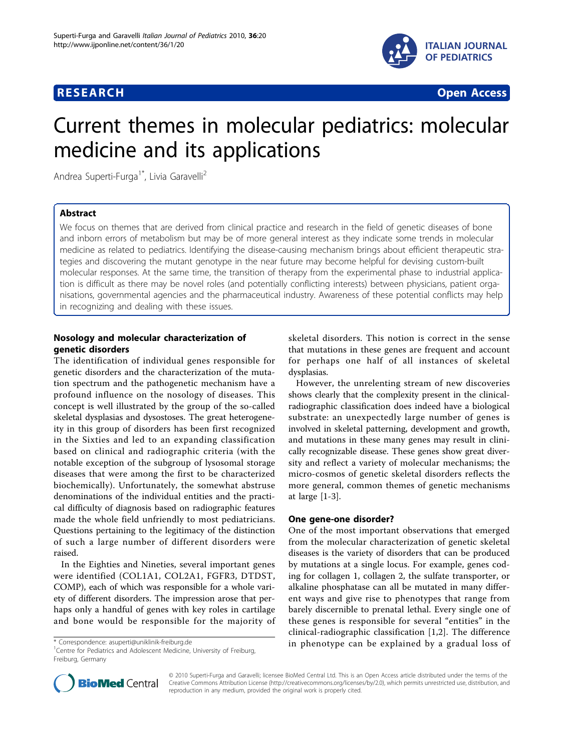



# Current themes in molecular pediatrics: molecular medicine and its applications

Andrea Superti-Furga<sup>1\*</sup>, Livia Garavelli<sup>2</sup>

# Abstract

We focus on themes that are derived from clinical practice and research in the field of genetic diseases of bone and inborn errors of metabolism but may be of more general interest as they indicate some trends in molecular medicine as related to pediatrics. Identifying the disease-causing mechanism brings about efficient therapeutic strategies and discovering the mutant genotype in the near future may become helpful for devising custom-built molecular responses. At the same time, the transition of therapy from the experimental phase to industrial application is difficult as there may be novel roles (and potentially conflicting interests) between physicians, patient organisations, governmental agencies and the pharmaceutical industry. Awareness of these potential conflicts may help in recognizing and dealing with these issues.

# Nosology and molecular characterization of genetic disorders

The identification of individual genes responsible for genetic disorders and the characterization of the mutation spectrum and the pathogenetic mechanism have a profound influence on the nosology of diseases. This concept is well illustrated by the group of the so-called skeletal dysplasias and dysostoses. The great heterogeneity in this group of disorders has been first recognized in the Sixties and led to an expanding classification based on clinical and radiographic criteria (with the notable exception of the subgroup of lysosomal storage diseases that were among the first to be characterized biochemically). Unfortunately, the somewhat abstruse denominations of the individual entities and the practical difficulty of diagnosis based on radiographic features made the whole field unfriendly to most pediatricians. Questions pertaining to the legitimacy of the distinction of such a large number of different disorders were raised.

In the Eighties and Nineties, several important genes were identified (COL1A1, COL2A1, FGFR3, DTDST, COMP), each of which was responsible for a whole variety of different disorders. The impression arose that perhaps only a handful of genes with key roles in cartilage and bone would be responsible for the majority of skeletal disorders. This notion is correct in the sense that mutations in these genes are frequent and account for perhaps one half of all instances of skeletal dysplasias.

However, the unrelenting stream of new discoveries shows clearly that the complexity present in the clinicalradiographic classification does indeed have a biological substrate: an unexpectedly large number of genes is involved in skeletal patterning, development and growth, and mutations in these many genes may result in clinically recognizable disease. These genes show great diversity and reflect a variety of molecular mechanisms; the micro-cosmos of genetic skeletal disorders reflects the more general, common themes of genetic mechanisms at large [[1](#page-6-0)-[3\]](#page-6-0).

#### One gene-one disorder?

One of the most important observations that emerged from the molecular characterization of genetic skeletal diseases is the variety of disorders that can be produced by mutations at a single locus. For example, genes coding for collagen 1, collagen 2, the sulfate transporter, or alkaline phosphatase can all be mutated in many different ways and give rise to phenotypes that range from barely discernible to prenatal lethal. Every single one of these genes is responsible for several "entities" in the clinical-radiographic classification [[1,2\]](#page-6-0). The difference \* Correspondence: [asuperti@uniklinik-freiburg.de](mailto:asuperti@uniklinik-freiburg.de) **\*** in phenotype can be explained by a gradual loss of



© 2010 Superti-Furga and Garavelli; licensee BioMed Central Ltd. This is an Open Access article distributed under the terms of the Creative Commons Attribution License (<http://creativecommons.org/licenses/by/2.0>), which permits unrestricted use, distribution, and reproduction in any medium, provided the original work is properly cited.

<sup>&</sup>lt;sup>1</sup>Centre for Pediatrics and Adolescent Medicine, University of Freiburg, Freiburg, Germany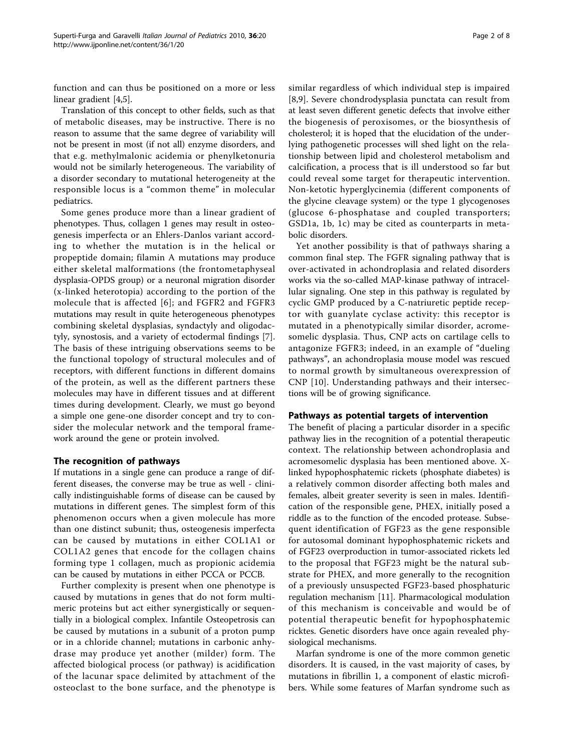function and can thus be positioned on a more or less linear gradient [[4](#page-6-0),[5](#page-6-0)].

Translation of this concept to other fields, such as that of metabolic diseases, may be instructive. There is no reason to assume that the same degree of variability will not be present in most (if not all) enzyme disorders, and that e.g. methylmalonic acidemia or phenylketonuria would not be similarly heterogeneous. The variability of a disorder secondary to mutational heterogeneity at the responsible locus is a "common theme" in molecular pediatrics.

Some genes produce more than a linear gradient of phenotypes. Thus, collagen 1 genes may result in osteogenesis imperfecta or an Ehlers-Danlos variant according to whether the mutation is in the helical or propeptide domain; filamin A mutations may produce either skeletal malformations (the frontometaphyseal dysplasia-OPDS group) or a neuronal migration disorder (x-linked heterotopia) according to the portion of the molecule that is affected [[6](#page-6-0)]; and FGFR2 and FGFR3 mutations may result in quite heterogeneous phenotypes combining skeletal dysplasias, syndactyly and oligodactyly, synostosis, and a variety of ectodermal findings [\[7](#page-6-0)]. The basis of these intriguing observations seems to be the functional topology of structural molecules and of receptors, with different functions in different domains of the protein, as well as the different partners these molecules may have in different tissues and at different times during development. Clearly, we must go beyond a simple one gene-one disorder concept and try to consider the molecular network and the temporal framework around the gene or protein involved.

#### The recognition of pathways

If mutations in a single gene can produce a range of different diseases, the converse may be true as well - clinically indistinguishable forms of disease can be caused by mutations in different genes. The simplest form of this phenomenon occurs when a given molecule has more than one distinct subunit; thus, osteogenesis imperfecta can be caused by mutations in either COL1A1 or COL1A2 genes that encode for the collagen chains forming type 1 collagen, much as propionic acidemia can be caused by mutations in either PCCA or PCCB.

Further complexity is present when one phenotype is caused by mutations in genes that do not form multimeric proteins but act either synergistically or sequentially in a biological complex. Infantile Osteopetrosis can be caused by mutations in a subunit of a proton pump or in a chloride channel; mutations in carbonic anhydrase may produce yet another (milder) form. The affected biological process (or pathway) is acidification of the lacunar space delimited by attachment of the osteoclast to the bone surface, and the phenotype is similar regardless of which individual step is impaired [[8,9](#page-6-0)]. Severe chondrodysplasia punctata can result from at least seven different genetic defects that involve either the biogenesis of peroxisomes, or the biosynthesis of cholesterol; it is hoped that the elucidation of the underlying pathogenetic processes will shed light on the relationship between lipid and cholesterol metabolism and calcification, a process that is ill understood so far but could reveal some target for therapeutic intervention. Non-ketotic hyperglycinemia (different components of the glycine cleavage system) or the type 1 glycogenoses (glucose 6-phosphatase and coupled transporters; GSD1a, 1b, 1c) may be cited as counterparts in metabolic disorders.

Yet another possibility is that of pathways sharing a common final step. The FGFR signaling pathway that is over-activated in achondroplasia and related disorders works via the so-called MAP-kinase pathway of intracellular signaling. One step in this pathway is regulated by cyclic GMP produced by a C-natriuretic peptide receptor with guanylate cyclase activity: this receptor is mutated in a phenotypically similar disorder, acromesomelic dysplasia. Thus, CNP acts on cartilage cells to antagonize FGFR3; indeed, in an example of "dueling pathways", an achondroplasia mouse model was rescued to normal growth by simultaneous overexpression of CNP [[10\]](#page-6-0). Understanding pathways and their intersections will be of growing significance.

#### Pathways as potential targets of intervention

The benefit of placing a particular disorder in a specific pathway lies in the recognition of a potential therapeutic context. The relationship between achondroplasia and acromesomelic dysplasia has been mentioned above. Xlinked hypophosphatemic rickets (phosphate diabetes) is a relatively common disorder affecting both males and females, albeit greater severity is seen in males. Identification of the responsible gene, PHEX, initially posed a riddle as to the function of the encoded protease. Subsequent identification of FGF23 as the gene responsible for autosomal dominant hypophosphatemic rickets and of FGF23 overproduction in tumor-associated rickets led to the proposal that FGF23 might be the natural substrate for PHEX, and more generally to the recognition of a previously unsuspected FGF23-based phosphaturic regulation mechanism [\[11](#page-6-0)]. Pharmacological modulation of this mechanism is conceivable and would be of potential therapeutic benefit for hypophosphatemic ricktes. Genetic disorders have once again revealed physiological mechanisms.

Marfan syndrome is one of the more common genetic disorders. It is caused, in the vast majority of cases, by mutations in fibrillin 1, a component of elastic microfibers. While some features of Marfan syndrome such as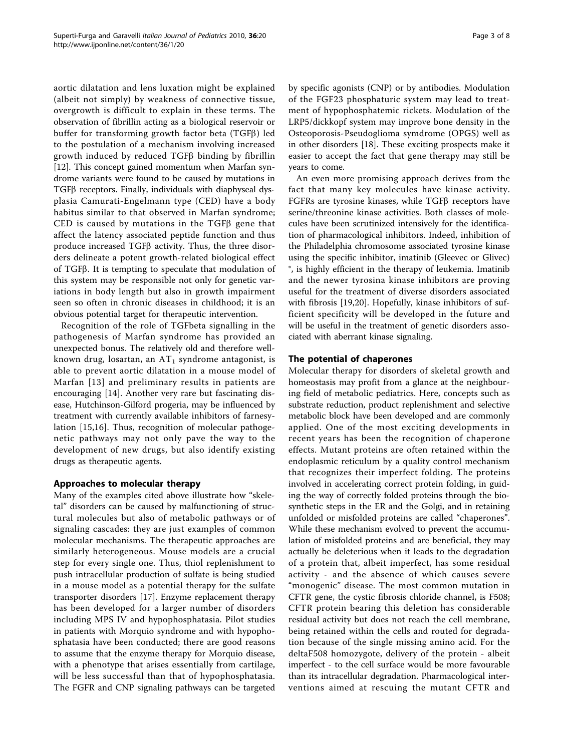aortic dilatation and lens luxation might be explained (albeit not simply) by weakness of connective tissue, overgrowth is difficult to explain in these terms. The observation of fibrillin acting as a biological reservoir or buffer for transforming growth factor beta (TGF $\beta$ ) led to the postulation of a mechanism involving increased growth induced by reduced TGFb binding by fibrillin [[12\]](#page-6-0). This concept gained momentum when Marfan syndrome variants were found to be caused by mutations in TGF<sub>B</sub> receptors. Finally, individuals with diaphyseal dysplasia Camurati-Engelmann type (CED) have a body habitus similar to that observed in Marfan syndrome; CED is caused by mutations in the  $TGF\beta$  gene that affect the latency associated peptide function and thus produce increased  $TGF\beta$  activity. Thus, the three disorders delineate a potent growth-related biological effect of TGFb. It is tempting to speculate that modulation of this system may be responsible not only for genetic variations in body length but also in growth impairment seen so often in chronic diseases in childhood; it is an obvious potential target for therapeutic intervention.

Recognition of the role of TGFbeta signalling in the pathogenesis of Marfan syndrome has provided an unexpected bonus. The relatively old and therefore wellknown drug, losartan, an  $AT_1$  syndrome antagonist, is able to prevent aortic dilatation in a mouse model of Marfan [[13](#page-6-0)] and preliminary results in patients are encouraging [[14\]](#page-6-0). Another very rare but fascinating disease, Hutchinson-Gilford progeria, may be influenced by treatment with currently available inhibitors of farnesylation [\[15](#page-6-0),[16\]](#page-6-0). Thus, recognition of molecular pathogenetic pathways may not only pave the way to the development of new drugs, but also identify existing drugs as therapeutic agents.

# Approaches to molecular therapy

Many of the examples cited above illustrate how "skeletal" disorders can be caused by malfunctioning of structural molecules but also of metabolic pathways or of signaling cascades: they are just examples of common molecular mechanisms. The therapeutic approaches are similarly heterogeneous. Mouse models are a crucial step for every single one. Thus, thiol replenishment to push intracellular production of sulfate is being studied in a mouse model as a potential therapy for the sulfate transporter disorders [[17\]](#page-6-0). Enzyme replacement therapy has been developed for a larger number of disorders including MPS IV and hypophosphatasia. Pilot studies in patients with Morquio syndrome and with hypophosphatasia have been conducted; there are good reasons to assume that the enzyme therapy for Morquio disease, with a phenotype that arises essentially from cartilage, will be less successful than that of hypophosphatasia. The FGFR and CNP signaling pathways can be targeted by specific agonists (CNP) or by antibodies. Modulation

of the FGF23 phosphaturic system may lead to treatment of hypophosphatemic rickets. Modulation of the LRP5/dickkopf system may improve bone density in the Osteoporosis-Pseudoglioma symdrome (OPGS) well as in other disorders [[18](#page-6-0)]. These exciting prospects make it easier to accept the fact that gene therapy may still be years to come.

An even more promising approach derives from the fact that many key molecules have kinase activity. FGFRs are tyrosine kinases, while  $TGF\beta$  receptors have serine/threonine kinase activities. Both classes of molecules have been scrutinized intensively for the identification of pharmacological inhibitors. Indeed, inhibition of the Philadelphia chromosome associated tyrosine kinase using the specific inhibitor, imatinib (Gleevec or Glivec) ®, is highly efficient in the therapy of leukemia. Imatinib and the newer tyrosina kinase inhibitors are proving useful for the treatment of diverse disorders associated with fibrosis [[19](#page-6-0),[20\]](#page-6-0). Hopefully, kinase inhibitors of sufficient specificity will be developed in the future and will be useful in the treatment of genetic disorders associated with aberrant kinase signaling.

#### The potential of chaperones

Molecular therapy for disorders of skeletal growth and homeostasis may profit from a glance at the neighbouring field of metabolic pediatrics. Here, concepts such as substrate reduction, product replenishment and selective metabolic block have been developed and are commonly applied. One of the most exciting developments in recent years has been the recognition of chaperone effects. Mutant proteins are often retained within the endoplasmic reticulum by a quality control mechanism that recognizes their imperfect folding. The proteins involved in accelerating correct protein folding, in guiding the way of correctly folded proteins through the biosynthetic steps in the ER and the Golgi, and in retaining unfolded or misfolded proteins are called "chaperones". While these mechanism evolved to prevent the accumulation of misfolded proteins and are beneficial, they may actually be deleterious when it leads to the degradation of a protein that, albeit imperfect, has some residual activity - and the absence of which causes severe "monogenic" disease. The most common mutation in CFTR gene, the cystic fibrosis chloride channel, is F508; CFTR protein bearing this deletion has considerable residual activity but does not reach the cell membrane, being retained within the cells and routed for degradation because of the single missing amino acid. For the deltaF508 homozygote, delivery of the protein - albeit imperfect - to the cell surface would be more favourable than its intracellular degradation. Pharmacological interventions aimed at rescuing the mutant CFTR and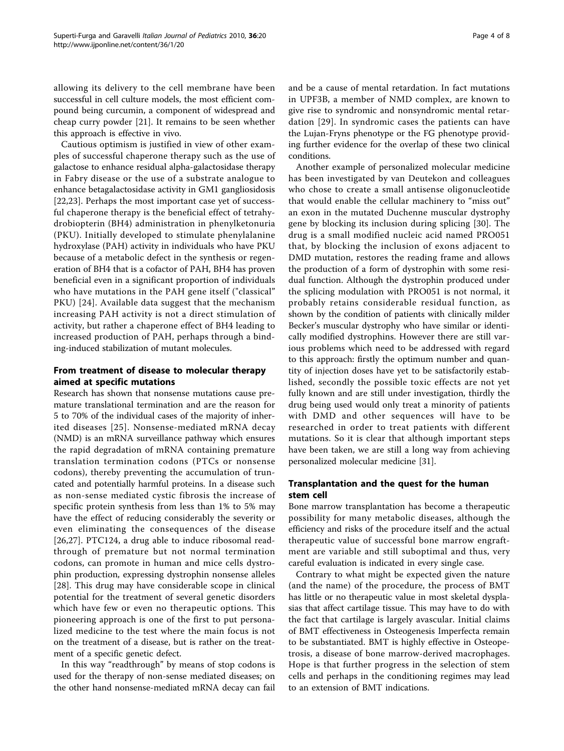allowing its delivery to the cell membrane have been successful in cell culture models, the most efficient compound being curcumin, a component of widespread and cheap curry powder [\[21](#page-6-0)]. It remains to be seen whether this approach is effective in vivo.

Cautious optimism is justified in view of other examples of successful chaperone therapy such as the use of galactose to enhance residual alpha-galactosidase therapy in Fabry disease or the use of a substrate analogue to enhance betagalactosidase activity in GM1 gangliosidosis [[22,23](#page-6-0)]. Perhaps the most important case yet of successful chaperone therapy is the beneficial effect of tetrahydrobiopterin (BH4) administration in phenylketonuria (PKU). Initially developed to stimulate phenylalanine hydroxylase (PAH) activity in individuals who have PKU because of a metabolic defect in the synthesis or regeneration of BH4 that is a cofactor of PAH, BH4 has proven beneficial even in a significant proportion of individuals who have mutations in the PAH gene itself ("classical" PKU) [[24](#page-6-0)]. Available data suggest that the mechanism increasing PAH activity is not a direct stimulation of activity, but rather a chaperone effect of BH4 leading to increased production of PAH, perhaps through a binding-induced stabilization of mutant molecules.

# From treatment of disease to molecular therapy aimed at specific mutations

Research has shown that nonsense mutations cause premature translational termination and are the reason for 5 to 70% of the individual cases of the majority of inherited diseases [[25\]](#page-6-0). Nonsense-mediated mRNA decay (NMD) is an mRNA surveillance pathway which ensures the rapid degradation of mRNA containing premature translation termination codons (PTCs or nonsense codons), thereby preventing the accumulation of truncated and potentially harmful proteins. In a disease such as non-sense mediated cystic fibrosis the increase of specific protein synthesis from less than 1% to 5% may have the effect of reducing considerably the severity or even eliminating the consequences of the disease [[26,27](#page-6-0)]. PTC124, a drug able to induce ribosomal readthrough of premature but not normal termination codons, can promote in human and mice cells dystrophin production, expressing dystrophin nonsense alleles [[28\]](#page-6-0). This drug may have considerable scope in clinical potential for the treatment of several genetic disorders which have few or even no therapeutic options. This pioneering approach is one of the first to put personalized medicine to the test where the main focus is not on the treatment of a disease, but is rather on the treatment of a specific genetic defect.

In this way "readthrough" by means of stop codons is used for the therapy of non-sense mediated diseases; on the other hand nonsense-mediated mRNA decay can fail and be a cause of mental retardation. In fact mutations in UPF3B, a member of NMD complex, are known to give rise to syndromic and nonsyndromic mental retardation [[29](#page-6-0)]. In syndromic cases the patients can have the Lujan-Fryns phenotype or the FG phenotype providing further evidence for the overlap of these two clinical conditions.

Another example of personalized molecular medicine has been investigated by van Deutekon and colleagues who chose to create a small antisense oligonucleotide that would enable the cellular machinery to "miss out" an exon in the mutated Duchenne muscular dystrophy gene by blocking its inclusion during splicing [\[30](#page-6-0)]. The drug is a small modified nucleic acid named PRO051 that, by blocking the inclusion of exons adjacent to DMD mutation, restores the reading frame and allows the production of a form of dystrophin with some residual function. Although the dystrophin produced under the splicing modulation with PRO051 is not normal, it probably retains considerable residual function, as shown by the condition of patients with clinically milder Becker's muscular dystrophy who have similar or identically modified dystrophins. However there are still various problems which need to be addressed with regard to this approach: firstly the optimum number and quantity of injection doses have yet to be satisfactorily established, secondly the possible toxic effects are not yet fully known and are still under investigation, thirdly the drug being used would only treat a minority of patients with DMD and other sequences will have to be researched in order to treat patients with different mutations. So it is clear that although important steps have been taken, we are still a long way from achieving personalized molecular medicine [[31](#page-6-0)].

#### Transplantation and the quest for the human stem cell

Bone marrow transplantation has become a therapeutic possibility for many metabolic diseases, although the efficiency and risks of the procedure itself and the actual therapeutic value of successful bone marrow engraftment are variable and still suboptimal and thus, very careful evaluation is indicated in every single case.

Contrary to what might be expected given the nature (and the name) of the procedure, the process of BMT has little or no therapeutic value in most skeletal dysplasias that affect cartilage tissue. This may have to do with the fact that cartilage is largely avascular. Initial claims of BMT effectiveness in Osteogenesis Imperfecta remain to be substantiated. BMT is highly effective in Osteopetrosis, a disease of bone marrow-derived macrophages. Hope is that further progress in the selection of stem cells and perhaps in the conditioning regimes may lead to an extension of BMT indications.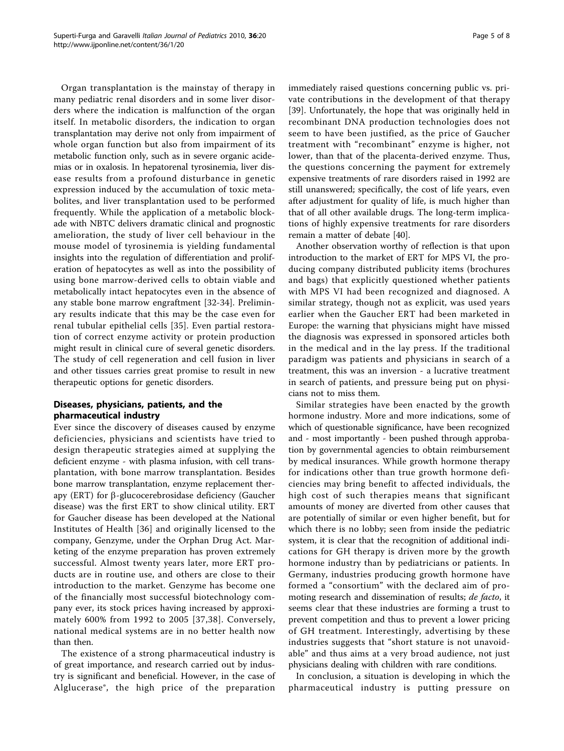Organ transplantation is the mainstay of therapy in many pediatric renal disorders and in some liver disorders where the indication is malfunction of the organ itself. In metabolic disorders, the indication to organ transplantation may derive not only from impairment of whole organ function but also from impairment of its metabolic function only, such as in severe organic acidemias or in oxalosis. In hepatorenal tyrosinemia, liver disease results from a profound disturbance in genetic expression induced by the accumulation of toxic metabolites, and liver transplantation used to be performed frequently. While the application of a metabolic blockade with NBTC delivers dramatic clinical and prognostic amelioration, the study of liver cell behaviour in the mouse model of tyrosinemia is yielding fundamental insights into the regulation of differentiation and proliferation of hepatocytes as well as into the possibility of using bone marrow-derived cells to obtain viable and metabolically intact hepatocytes even in the absence of any stable bone marrow engraftment [[32-34\]](#page-6-0). Preliminary results indicate that this may be the case even for renal tubular epithelial cells [[35\]](#page-6-0). Even partial restoration of correct enzyme activity or protein production might result in clinical cure of several genetic disorders. The study of cell regeneration and cell fusion in liver and other tissues carries great promise to result in new therapeutic options for genetic disorders.

# Diseases, physicians, patients, and the pharmaceutical industry

Ever since the discovery of diseases caused by enzyme deficiencies, physicians and scientists have tried to design therapeutic strategies aimed at supplying the deficient enzyme - with plasma infusion, with cell transplantation, with bone marrow transplantation. Besides bone marrow transplantation, enzyme replacement therapy (ERT) for  $\beta$ -glucocerebrosidase deficiency (Gaucher disease) was the first ERT to show clinical utility. ERT for Gaucher disease has been developed at the National Institutes of Health [[36\]](#page-6-0) and originally licensed to the company, Genzyme, under the Orphan Drug Act. Marketing of the enzyme preparation has proven extremely successful. Almost twenty years later, more ERT products are in routine use, and others are close to their introduction to the market. Genzyme has become one of the financially most successful biotechnology company ever, its stock prices having increased by approximately 600% from 1992 to 2005 [[37](#page-6-0),[38](#page-7-0)]. Conversely, national medical systems are in no better health now than then.

The existence of a strong pharmaceutical industry is of great importance, and research carried out by industry is significant and beneficial. However, in the case of Alglucerase®, the high price of the preparation immediately raised questions concerning public vs. private contributions in the development of that therapy [[39\]](#page-7-0). Unfortunately, the hope that was originally held in recombinant DNA production technologies does not seem to have been justified, as the price of Gaucher treatment with "recombinant" enzyme is higher, not lower, than that of the placenta-derived enzyme. Thus, the questions concerning the payment for extremely expensive treatments of rare disorders raised in 1992 are still unanswered; specifically, the cost of life years, even after adjustment for quality of life, is much higher than that of all other available drugs. The long-term implications of highly expensive treatments for rare disorders remain a matter of debate [\[40](#page-7-0)].

Another observation worthy of reflection is that upon introduction to the market of ERT for MPS VI, the producing company distributed publicity items (brochures and bags) that explicitly questioned whether patients with MPS VI had been recognized and diagnosed. A similar strategy, though not as explicit, was used years earlier when the Gaucher ERT had been marketed in Europe: the warning that physicians might have missed the diagnosis was expressed in sponsored articles both in the medical and in the lay press. If the traditional paradigm was patients and physicians in search of a treatment, this was an inversion - a lucrative treatment in search of patients, and pressure being put on physicians not to miss them.

Similar strategies have been enacted by the growth hormone industry. More and more indications, some of which of questionable significance, have been recognized and - most importantly - been pushed through approbation by governmental agencies to obtain reimbursement by medical insurances. While growth hormone therapy for indications other than true growth hormone deficiencies may bring benefit to affected individuals, the high cost of such therapies means that significant amounts of money are diverted from other causes that are potentially of similar or even higher benefit, but for which there is no lobby; seen from inside the pediatric system, it is clear that the recognition of additional indications for GH therapy is driven more by the growth hormone industry than by pediatricians or patients. In Germany, industries producing growth hormone have formed a "consortium" with the declared aim of promoting research and dissemination of results; de facto, it seems clear that these industries are forming a trust to prevent competition and thus to prevent a lower pricing of GH treatment. Interestingly, advertising by these industries suggests that "short stature is not unavoidable" and thus aims at a very broad audience, not just physicians dealing with children with rare conditions.

In conclusion, a situation is developing in which the pharmaceutical industry is putting pressure on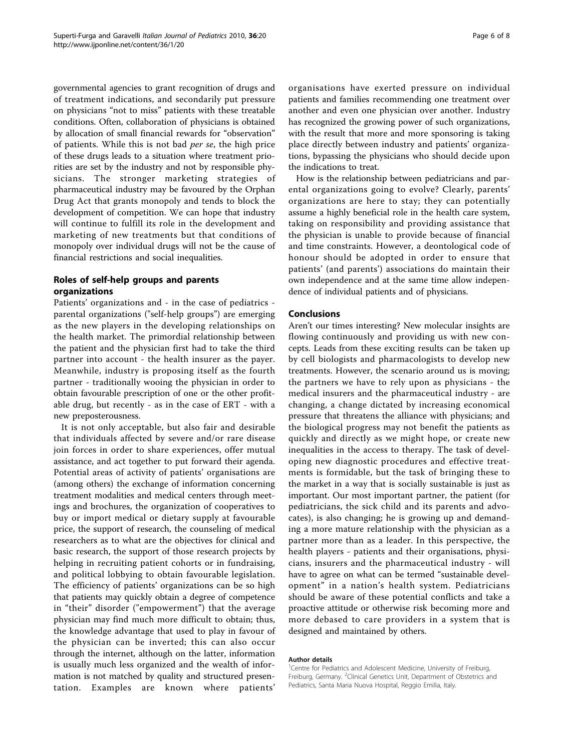governmental agencies to grant recognition of drugs and of treatment indications, and secondarily put pressure on physicians "not to miss" patients with these treatable conditions. Often, collaboration of physicians is obtained by allocation of small financial rewards for "observation" of patients. While this is not bad per se, the high price of these drugs leads to a situation where treatment priorities are set by the industry and not by responsible physicians. The stronger marketing strategies of pharmaceutical industry may be favoured by the Orphan Drug Act that grants monopoly and tends to block the development of competition. We can hope that industry will continue to fulfill its role in the development and marketing of new treatments but that conditions of monopoly over individual drugs will not be the cause of financial restrictions and social inequalities.

### Roles of self-help groups and parents organizations

Patients' organizations and - in the case of pediatrics parental organizations ("self-help groups") are emerging as the new players in the developing relationships on the health market. The primordial relationship between the patient and the physician first had to take the third partner into account - the health insurer as the payer. Meanwhile, industry is proposing itself as the fourth partner - traditionally wooing the physician in order to obtain favourable prescription of one or the other profitable drug, but recently - as in the case of ERT - with a new preposterousness.

It is not only acceptable, but also fair and desirable that individuals affected by severe and/or rare disease join forces in order to share experiences, offer mutual assistance, and act together to put forward their agenda. Potential areas of activity of patients' organisations are (among others) the exchange of information concerning treatment modalities and medical centers through meetings and brochures, the organization of cooperatives to buy or import medical or dietary supply at favourable price, the support of research, the counseling of medical researchers as to what are the objectives for clinical and basic research, the support of those research projects by helping in recruiting patient cohorts or in fundraising, and political lobbying to obtain favourable legislation. The efficiency of patients' organizations can be so high that patients may quickly obtain a degree of competence in "their" disorder ("empowerment") that the average physician may find much more difficult to obtain; thus, the knowledge advantage that used to play in favour of the physician can be inverted; this can also occur through the internet, although on the latter, information is usually much less organized and the wealth of information is not matched by quality and structured presentation. Examples are known where patients'

organisations have exerted pressure on individual patients and families recommending one treatment over another and even one physician over another. Industry has recognized the growing power of such organizations, with the result that more and more sponsoring is taking place directly between industry and patients' organizations, bypassing the physicians who should decide upon the indications to treat.

How is the relationship between pediatricians and parental organizations going to evolve? Clearly, parents' organizations are here to stay; they can potentially assume a highly beneficial role in the health care system, taking on responsibility and providing assistance that the physician is unable to provide because of financial and time constraints. However, a deontological code of honour should be adopted in order to ensure that patients' (and parents') associations do maintain their own independence and at the same time allow independence of individual patients and of physicians.

#### Conclusions

Aren't our times interesting? New molecular insights are flowing continuously and providing us with new concepts. Leads from these exciting results can be taken up by cell biologists and pharmacologists to develop new treatments. However, the scenario around us is moving; the partners we have to rely upon as physicians - the medical insurers and the pharmaceutical industry - are changing, a change dictated by increasing economical pressure that threatens the alliance with physicians; and the biological progress may not benefit the patients as quickly and directly as we might hope, or create new inequalities in the access to therapy. The task of developing new diagnostic procedures and effective treatments is formidable, but the task of bringing these to the market in a way that is socially sustainable is just as important. Our most important partner, the patient (for pediatricians, the sick child and its parents and advocates), is also changing; he is growing up and demanding a more mature relationship with the physician as a partner more than as a leader. In this perspective, the health players - patients and their organisations, physicians, insurers and the pharmaceutical industry - will have to agree on what can be termed "sustainable development" in a nation's health system. Pediatricians should be aware of these potential conflicts and take a proactive attitude or otherwise risk becoming more and more debased to care providers in a system that is designed and maintained by others.

#### Author details

<sup>1</sup> Centre for Pediatrics and Adolescent Medicine, University of Freiburg, Freiburg, Germany. <sup>2</sup>Clinical Genetics Unit, Department of Obstetrics and Pediatrics, Santa Maria Nuova Hospital, Reggio Emilia, Italy.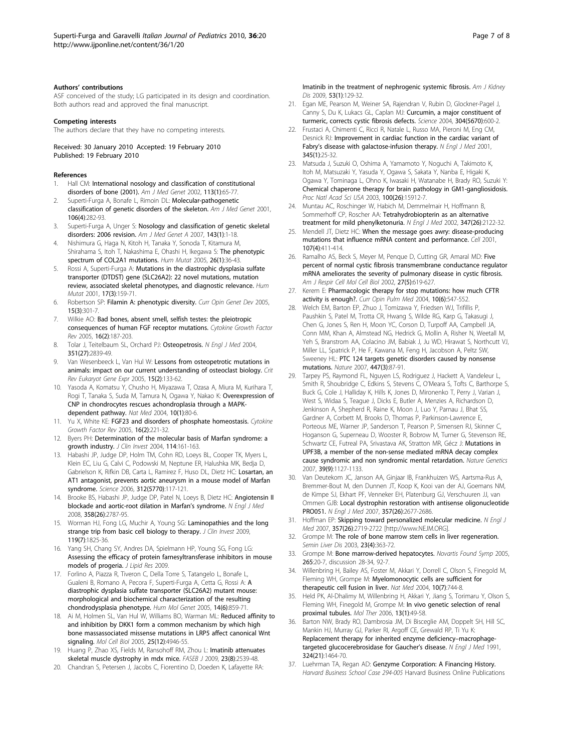#### <span id="page-6-0"></span>Authors' contributions

ASF conceived of the study; LG participated in its design and coordination. Both authors read and approved the final manuscript.

#### Competing interests

The authors declare that they have no competing interests.

Received: 30 January 2010 Accepted: 19 February 2010 Published: 19 February 2010

#### References

- 1. Hall CM: [International nosology and classification of constitutional](http://www.ncbi.nlm.nih.gov/pubmed/12400068?dopt=Abstract) [disorders of bone \(2001\).](http://www.ncbi.nlm.nih.gov/pubmed/12400068?dopt=Abstract) Am J Med Genet 2002, 113(1):65-77.
- 2. Superti-Furga A, Bonafe L, Rimoin DL: [Molecular-pathogenetic](http://www.ncbi.nlm.nih.gov/pubmed/11891680?dopt=Abstract) [classification of genetic disorders of the skeleton.](http://www.ncbi.nlm.nih.gov/pubmed/11891680?dopt=Abstract) Am J Med Genet 2001, 106(4):282-93.
- 3. Superti-Furga A, Unger S: [Nosology and classification of genetic skeletal](http://www.ncbi.nlm.nih.gov/pubmed/17120245?dopt=Abstract) [disorders: 2006 revision.](http://www.ncbi.nlm.nih.gov/pubmed/17120245?dopt=Abstract) Am J Med Genet A 2007, 143(1):1-18.
- 4. Nishimura G, Haga N, Kitoh H, Tanaka Y, Sonoda T, Kitamura M, Shirahama S, Itoh T, Nakashima E, Ohashi H, Ikegawa S: [The phenotypic](http://www.ncbi.nlm.nih.gov/pubmed/15895462?dopt=Abstract) [spectrum of COL2A1 mutations.](http://www.ncbi.nlm.nih.gov/pubmed/15895462?dopt=Abstract) Hum Mutat 2005, 26(1):36-43.
- 5. Rossi A, Superti-Furga A: [Mutations in the diastrophic dysplasia sulfate](http://www.ncbi.nlm.nih.gov/pubmed/11241838?dopt=Abstract) [transporter \(DTDST\) gene \(SLC26A2\): 22 novel mutations, mutation](http://www.ncbi.nlm.nih.gov/pubmed/11241838?dopt=Abstract) [review, associated skeletal phenotypes, and diagnostic relevance.](http://www.ncbi.nlm.nih.gov/pubmed/11241838?dopt=Abstract) Hum Mutat 2001, 17(3):159-71.
- 6. Robertson SP: [Filamin A: phenotypic diversity.](http://www.ncbi.nlm.nih.gov/pubmed/15917206?dopt=Abstract) Curr Opin Genet Dev 2005, 15(3):301-7.
- 7. Wilkie AO: [Bad bones, absent smell, selfish testes: the pleiotropic](http://www.ncbi.nlm.nih.gov/pubmed/15863034?dopt=Abstract) [consequences of human FGF receptor mutations.](http://www.ncbi.nlm.nih.gov/pubmed/15863034?dopt=Abstract) Cytokine Growth Factor Rev 2005, 16(2):187-203.
- Tolar J, Teitelbaum SL, Orchard PJ: [Osteopetrosis.](http://www.ncbi.nlm.nih.gov/pubmed/15625335?dopt=Abstract) N Engl J Med 2004, 351(27):2839-49.
- 9. Van Wesenbeeck L, Van Hul W: [Lessons from osteopetrotic mutations in](http://www.ncbi.nlm.nih.gov/pubmed/16022633?dopt=Abstract) [animals: impact on our current understanding of osteoclast biology.](http://www.ncbi.nlm.nih.gov/pubmed/16022633?dopt=Abstract) Crit Rev Eukaryot Gene Expr 2005, 15(2):133-62.
- 10. Yasoda A, Komatsu Y, Chusho H, Miyazawa T, Ozasa A, Miura M, Kurihara T, Rogi T, Tanaka S, Suda M, Tamura N, Ogawa Y, Nakao K: [Overexpression of](http://www.ncbi.nlm.nih.gov/pubmed/14702637?dopt=Abstract) [CNP in chondrocytes rescues achondroplasia through a MAPK](http://www.ncbi.nlm.nih.gov/pubmed/14702637?dopt=Abstract)[dependent pathway.](http://www.ncbi.nlm.nih.gov/pubmed/14702637?dopt=Abstract) Nat Med 2004, 10(1):80-6.
- 11. Yu X, White KE: [FGF23 and disorders of phosphate homeostasis.](http://www.ncbi.nlm.nih.gov/pubmed/15863037?dopt=Abstract) Cytokine Growth Factor Rev 2005, 16(2):221-32.
- 12. Byers PH: [Determination of the molecular basis of Marfan syndrome: a](http://www.ncbi.nlm.nih.gov/pubmed/15254580?dopt=Abstract) [growth industry.](http://www.ncbi.nlm.nih.gov/pubmed/15254580?dopt=Abstract) J Clin Invest 2004, 114:161-163.
- 13. Habashi JP, Judge DP, Holm TM, Cohn RD, Loeys BL, Cooper TK, Myers L, Klein EC, Liu G, Calvi C, Podowski M, Neptune ER, Halushka MK, Bedja D, Gabrielson K, Rifkin DB, Carta L, Ramirez F, Huso DL, Dietz HC: [Losartan, an](http://www.ncbi.nlm.nih.gov/pubmed/16601194?dopt=Abstract) [AT1 antagonist, prevents aortic aneurysm in a mouse model of Marfan](http://www.ncbi.nlm.nih.gov/pubmed/16601194?dopt=Abstract) [syndrome.](http://www.ncbi.nlm.nih.gov/pubmed/16601194?dopt=Abstract) Science 2006, 312(5770):117-121.
- 14. Brooke BS, Habashi JP, Judge DP, Patel N, Loeys B, Dietz HC: [Angiotensin II](http://www.ncbi.nlm.nih.gov/pubmed/18579813?dopt=Abstract) [blockade and aortic-root dilation in Marfan](http://www.ncbi.nlm.nih.gov/pubmed/18579813?dopt=Abstract)'s syndrome. N Engl J Med 2008, 358(26):2787-95.
- 15. Worman HJ, Fong LG, Muchir A, Young SG: [Laminopathies and the long](http://www.ncbi.nlm.nih.gov/pubmed/19587457?dopt=Abstract) [strange trip from basic cell biology to therapy.](http://www.ncbi.nlm.nih.gov/pubmed/19587457?dopt=Abstract) J Clin Invest 2009, 119(7):1825-36.
- 16. Yang SH, Chang SY, Andres DA, Spielmann HP, Young SG, Fong LG: Assessing the efficacy of protein farnesyltransferase inhibitors in mouse models of progeria. J Lipid Res 2009.
- 17. Forlino A, Piazza R, Tiveron C, Della Torre S, Tatangelo L, Bonafe L, Gualeni B, Romano A, Pecora F, Superti-Furga A, Cetta G, Rossi A: [A](http://www.ncbi.nlm.nih.gov/pubmed/15703192?dopt=Abstract) [diastrophic dysplasia sulfate transporter \(SLC26A2\) mutant mouse:](http://www.ncbi.nlm.nih.gov/pubmed/15703192?dopt=Abstract) [morphological and biochemical characterization of the resulting](http://www.ncbi.nlm.nih.gov/pubmed/15703192?dopt=Abstract) [chondrodysplasia phenotype.](http://www.ncbi.nlm.nih.gov/pubmed/15703192?dopt=Abstract) Hum Mol Genet 2005, 14(6):859-71.
- 18. Ai M, Holmen SL, Van Hul W, Williams BO, Warman ML: [Reduced affinity to](http://www.ncbi.nlm.nih.gov/pubmed/15923613?dopt=Abstract) [and inhibition by DKK1 form a common mechanism by which high](http://www.ncbi.nlm.nih.gov/pubmed/15923613?dopt=Abstract) [bone massassociated missense mutations in LRP5 affect canonical Wnt](http://www.ncbi.nlm.nih.gov/pubmed/15923613?dopt=Abstract) [signaling.](http://www.ncbi.nlm.nih.gov/pubmed/15923613?dopt=Abstract) Mol Cell Biol 2005, 25(12):4946-55.
- 19. Huang P, Zhao XS, Fields M, Ransohoff RM, Zhou L: [Imatinib attenuates](http://www.ncbi.nlm.nih.gov/pubmed/19289603?dopt=Abstract) [skeletal muscle dystrophy in mdx mice.](http://www.ncbi.nlm.nih.gov/pubmed/19289603?dopt=Abstract) FASEB J 2009, 23(8):2539-48.
- 20. Chandran S, Petersen J, Jacobs C, Fiorentino D, Doeden K, Lafayette RA:

[Imatinib in the treatment of nephrogenic systemic fibrosis.](http://www.ncbi.nlm.nih.gov/pubmed/19012999?dopt=Abstract) Am J Kidney Dis 2009, 53(1):129-32.

- 21. Egan ME, Pearson M, Weiner SA, Rajendran V, Rubin D, Glockner-Pagel J, Canny S, Du K, Lukacs GL, Caplan MJ: [Curcumin, a major constituent of](http://www.ncbi.nlm.nih.gov/pubmed/15105504?dopt=Abstract) [turmeric, corrects cystic fibrosis defects.](http://www.ncbi.nlm.nih.gov/pubmed/15105504?dopt=Abstract) Science 2004, 304(5670):600-2.
- 22. Frustaci A, Chimenti C, Ricci R, Natale L, Russo MA, Pieroni M, Eng CM, Desnick RJ: [Improvement in cardiac function in the cardiac variant of](http://www.ncbi.nlm.nih.gov/pubmed/11439944?dopt=Abstract) Fabry'[s disease with galactose-infusion therapy.](http://www.ncbi.nlm.nih.gov/pubmed/11439944?dopt=Abstract) N Engl J Med 2001, 345(1):25-32.
- 23. Matsuda J, Suzuki O, Oshima A, Yamamoto Y, Noguchi A, Takimoto K, Itoh M, Matsuzaki Y, Yasuda Y, Ogawa S, Sakata Y, Nanba E, Higaki K, Ogawa Y, Tominaga L, Ohno K, Iwasaki H, Watanabe H, Brady RO, Suzuki Y: [Chemical chaperone therapy for brain pathology in GM1-gangliosidosis.](http://www.ncbi.nlm.nih.gov/pubmed/14676316?dopt=Abstract) Proc Natl Acad Sci USA 2003, 100(26):15912-7.
- 24. Muntau AC, Roschinger W, Habich M, Demmelmair H, Hoffmann B, Sommerhoff CP, Roscher AA: [Tetrahydrobiopterin as an alternative](http://www.ncbi.nlm.nih.gov/pubmed/12501224?dopt=Abstract) [treatment for mild phenylketonuria.](http://www.ncbi.nlm.nih.gov/pubmed/12501224?dopt=Abstract) N Engl J Med 2002, 347(26):2122-32.
- 25. Mendell JT, Dietz HC: [When the message goes awry: disease-producing](http://www.ncbi.nlm.nih.gov/pubmed/11719181?dopt=Abstract) [mutations that influence mRNA content and performance.](http://www.ncbi.nlm.nih.gov/pubmed/11719181?dopt=Abstract) Cell 2001, 107(4):411-414.
- 26. Ramalho AS, Beck S, Meyer M, Penque D, Cutting GR, Amaral MD: Five percent of normal cystic fibrosis transmembrane conductance regulator mRNA ameliorates the severity of pulmonary disease in cystic fibrosis. Am J Respir Cell Mol Cell Biol 2002, 27(5):619-627.
- 27. Kerem E: [Pharmacologic therapy for stop mutations: how much CFTR](http://www.ncbi.nlm.nih.gov/pubmed/15510065?dopt=Abstract) [activity is enough?.](http://www.ncbi.nlm.nih.gov/pubmed/15510065?dopt=Abstract) Curr Opin Pulm Med 2004, 10(6):547-552.
- 28. Welch EM, Barton EP, Zhuo J, Tomizawa Y, Friedsen WJ, Trifillis P, Paushkin S, Patel M, Trotta CR, Hwang S, Wilde RG, Karp G, Takasugi J, Chen G, Jones S, Ren H, Moon YC, Corson D, Turpoff AA, Campbell JA, Conn MM, Khan A, Almstead NG, Hedrick G, Mollin A, Risher N, Weetall M, Yeh S, Branstrom AA, Colacino JM, Babiak J, Ju WD, Hirawat S, Northcutt VJ, Miller LL, Spatrick P, He F, Kawana M, Feng H, Jacobson A, Peltz SW, Sweeney HL: [PTC 124 targets genetic disorders caused by nonsense](http://www.ncbi.nlm.nih.gov/pubmed/17450125?dopt=Abstract) [mutations.](http://www.ncbi.nlm.nih.gov/pubmed/17450125?dopt=Abstract) Nature 2007, 447(3):87-91.
- Tarpey PS, Raymond FL, Nguyen LS, Rodriguez J, Hackett A, Vandeleur L, Smith R, Shoubridge C, Edkins S, Stevens C, O'Meara S, Tofts C, Barthorpe S, Buck G, Cole J, Halliday K, Hills K, Jones D, Mironenko T, Perry J, Varian J, West S, Widaa S, Teague J, Dicks E, Butler A, Menzies A, Richardson D, Jenkinson A, Shepherd R, Raine K, Moon J, Luo Y, Parnau J, Bhat SS, Gardner A, Corbett M, Brooks D, Thomas P, Parkinson-Lawrence E, Porteous ME, Warner JP, Sanderson T, Pearson P, Simensen RJ, Skinner C, Hoganson G, Superneau D, Wooster R, Bobrow M, Turner G, Stevenson RE, Schwartz CE, Futreal PA, Srivastava AK, Stratton MR, Gécz J: [Mutations in](http://www.ncbi.nlm.nih.gov/pubmed/17704778?dopt=Abstract) [UPF3B, a member of the non-sense mediated mRNA decay complex](http://www.ncbi.nlm.nih.gov/pubmed/17704778?dopt=Abstract) [cause syndromic and non syndromic mental retardation.](http://www.ncbi.nlm.nih.gov/pubmed/17704778?dopt=Abstract) Nature Genetics 2007, 39(9):1127-1133.
- 30. Van Deutekom JC, Janson AA, Ginjaar IB, Frankhuizen WS, Aartsma-Rus A, Bremmer-Bout M, den Dunnen JT, Koop K, Kooi van der AJ, Goemans NM, de Kimpe SJ, Ekhart PF, Venneker EH, Platenburg GJ, Verschuuren JJ, van Ommen GJB: [Local dystrophin restoration with antisense oligonucleotide](http://www.ncbi.nlm.nih.gov/pubmed/18160687?dopt=Abstract) [PRO051.](http://www.ncbi.nlm.nih.gov/pubmed/18160687?dopt=Abstract) N Engl J Med 2007, 357(26):2677-2686.
- 31. Hoffman EP: [Skipping toward personalized molecular medicine.](http://www.ncbi.nlm.nih.gov/pubmed/18160693?dopt=Abstract) N Engl J Med 2007, 357(26):2719-2722 [[http://www.NEJM.ORG\]](http://www.NEJM.ORG).
- 32. Grompe M: [The role of bone marrow stem cells in liver regeneration.](http://www.ncbi.nlm.nih.gov/pubmed/14722813?dopt=Abstract) Semin Liver Dis 2003, 23(4):363-72.
- 33. Grompe M: [Bone marrow-derived hepatocytes.](http://www.ncbi.nlm.nih.gov/pubmed/16050248?dopt=Abstract) Novartis Found Symp 2005, 265:20-7, discussion 28-34, 92-7.
- 34. Willenbring H, Bailey AS, Foster M, Akkari Y, Dorrell C, Olson S, Finegold M, Fleming WH, Grompe M: [Myelomonocytic cells are sufficient for](http://www.ncbi.nlm.nih.gov/pubmed/15195088?dopt=Abstract) [therapeutic cell fusion in liver.](http://www.ncbi.nlm.nih.gov/pubmed/15195088?dopt=Abstract) Nat Med 2004, 10(7):744-8.
- 35. Held PK, Al-Dhalimy M, Willenbring H, Akkari Y, Jiang S, Torimaru Y, Olson S, Fleming WH, Finegold M, Grompe M: [In vivo genetic selection of renal](http://www.ncbi.nlm.nih.gov/pubmed/16216560?dopt=Abstract) [proximal tubules.](http://www.ncbi.nlm.nih.gov/pubmed/16216560?dopt=Abstract) Mol Ther 2006, 13(1):49-58.
- 36. Barton NW, Brady RO, Dambrosia JM, Di Bisceglie AM, Doppelt SH, Hill SC, Mankin HJ, Murray GJ, Parker RI, Argoff CE, Grewald RP, Ti Yu K: [Replacement therapy for inherited enzyme deficiency](http://www.ncbi.nlm.nih.gov/pubmed/2023606?dopt=Abstract)–macrophage[targeted glucocerebrosidase for Gaucher](http://www.ncbi.nlm.nih.gov/pubmed/2023606?dopt=Abstract)'s disease. N Engl J Med 1991, 324(21):1464-70.
- 37. Luehrman TA, Regan AD: Genzyme Corporation: A Financing History. Harvard Business School Case 294-005 Harvard Business Online Publications